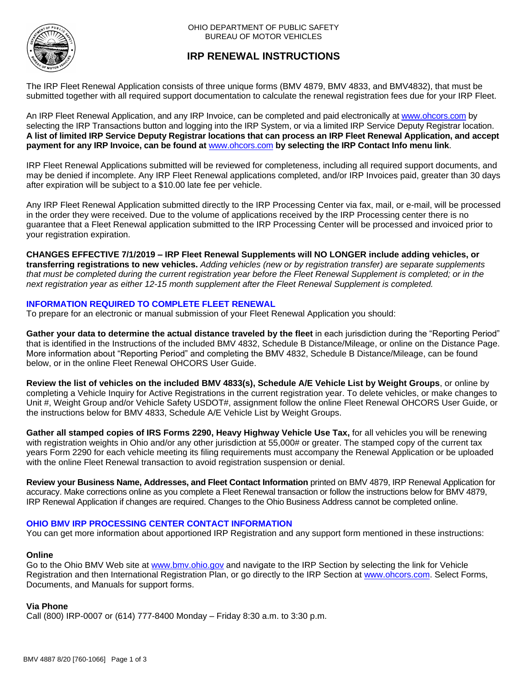

# **IRP RENEWAL INSTRUCTIONS**

The IRP Fleet Renewal Application consists of three unique forms (BMV 4879, BMV 4833, and BMV4832), that must be submitted together with all required support documentation to calculate the renewal registration fees due for your IRP Fleet.

An IRP Fleet Renewal Application, and any IRP Invoice, can be completed and paid electronically at [www.ohcors.com](https://www.bmv.ohio.gov/vr-irp-geninfo.aspx) by selecting the IRP Transactions button and logging into the IRP System, or via a limited IRP Service Deputy Registrar location. **A list of limited IRP Service Deputy Registrar locations that can process an IRP Fleet Renewal Application, and accept payment for any IRP Invoice, can be found at** [www.ohcors.com](https://www.bmv.ohio.gov/vr-irp-geninfo.aspx) **by selecting the IRP Contact Info menu link**.

IRP Fleet Renewal Applications submitted will be reviewed for completeness, including all required support documents, and may be denied if incomplete. Any IRP Fleet Renewal applications completed, and/or IRP Invoices paid, greater than 30 days after expiration will be subject to a \$10.00 late fee per vehicle.

Any IRP Fleet Renewal Application submitted directly to the IRP Processing Center via fax, mail, or e-mail, will be processed in the order they were received. Due to the volume of applications received by the IRP Processing center there is no guarantee that a Fleet Renewal application submitted to the IRP Processing Center will be processed and invoiced prior to your registration expiration.

**CHANGES EFFECTIVE 7/1/2019 – IRP Fleet Renewal Supplements will NO LONGER include adding vehicles, or transferring registrations to new vehicles.** *Adding vehicles (new or by registration transfer) are separate supplements that must be completed during the current registration year before the Fleet Renewal Supplement is completed; or in the next registration year as either 12-15 month supplement after the Fleet Renewal Supplement is completed.*

## **INFORMATION REQUIRED TO COMPLETE FLEET RENEWAL**

To prepare for an electronic or manual submission of your Fleet Renewal Application you should:

**Gather your data to determine the actual distance traveled by the fleet** in each jurisdiction during the "Reporting Period" that is identified in the Instructions of the included BMV 4832, Schedule B Distance/Mileage, or online on the Distance Page. More information about "Reporting Period" and completing the BMV 4832, Schedule B Distance/Mileage, can be found below, or in the online Fleet Renewal OHCORS User Guide.

**Review the list of vehicles on the included BMV 4833(s), Schedule A/E Vehicle List by Weight Groups**, or online by completing a Vehicle Inquiry for Active Registrations in the current registration year. To delete vehicles, or make changes to Unit #, Weight Group and/or Vehicle Safety USDOT#, assignment follow the online Fleet Renewal OHCORS User Guide, or the instructions below for BMV 4833, Schedule A/E Vehicle List by Weight Groups.

**Gather all stamped copies of IRS Forms 2290, Heavy Highway Vehicle Use Tax,** for all vehicles you will be renewing with registration weights in Ohio and/or any other jurisdiction at 55,000# or greater. The stamped copy of the current tax years Form 2290 for each vehicle meeting its filing requirements must accompany the Renewal Application or be uploaded with the online Fleet Renewal transaction to avoid registration suspension or denial.

**Review your Business Name, Addresses, and Fleet Contact Information** printed on BMV 4879, IRP Renewal Application for accuracy. Make corrections online as you complete a Fleet Renewal transaction or follow the instructions below for BMV 4879, IRP Renewal Application if changes are required. Changes to the Ohio Business Address cannot be completed online.

#### **OHIO BMV IRP PROCESSING CENTER CONTACT INFORMATION**

You can get more information about apportioned IRP Registration and any support form mentioned in these instructions:

#### **Online**

Go to the Ohio BMV Web site at <www.bmv.ohio.gov> and navigate to the IRP Section by selecting the link for Vehicle Registration and then International Registration Plan, or go directly to the IRP Section at [www.ohcors.com.](https://www.bmv.ohio.gov/vr-irp-geninfo.aspx) Select Forms, Documents, and Manuals for support forms.

#### **Via Phone**

Call (800) IRP-0007 or (614) 777-8400 Monday – Friday 8:30 a.m. to 3:30 p.m.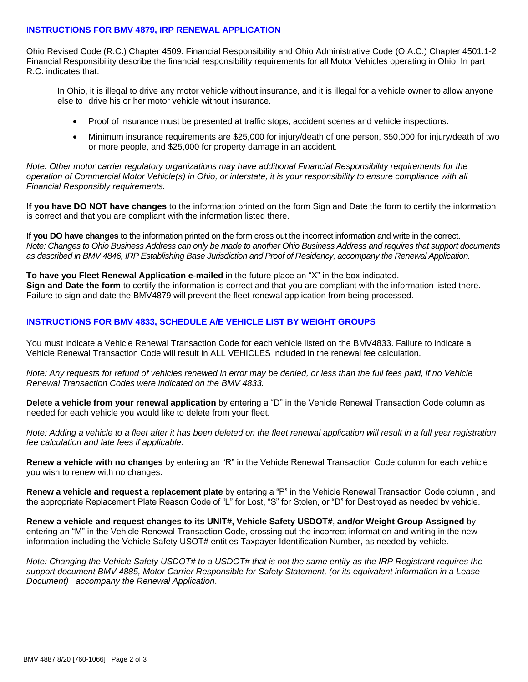#### **INSTRUCTIONS FOR BMV 4879, IRP RENEWAL APPLICATION**

Ohio Revised Code (R.C.) Chapter 4509: Financial Responsibility and Ohio Administrative Code (O.A.C.) Chapter 4501:1-2 Financial Responsibility describe the financial responsibility requirements for all Motor Vehicles operating in Ohio. In part R.C. indicates that:

In Ohio, it is illegal to drive any motor vehicle without insurance, and it is illegal for a vehicle owner to allow anyone else to drive his or her motor vehicle without insurance.

- Proof of insurance must be presented at traffic stops, accident scenes and vehicle inspections.
- Minimum insurance requirements are \$25,000 for injury/death of one person, \$50,000 for injury/death of two or more people, and \$25,000 for property damage in an accident.

*Note: Other motor carrier regulatory organizations may have additional Financial Responsibility requirements for the operation of Commercial Motor Vehicle(s) in Ohio, or interstate, it is your responsibility to ensure compliance with all Financial Responsibly requirements.*

**If you have DO NOT have changes** to the information printed on the form Sign and Date the form to certify the information is correct and that you are compliant with the information listed there.

**If you DO have changes** to the information printed on the form cross out the incorrect information and write in the correct. *Note: Changes to Ohio Business Address can only be made to another Ohio Business Address and requires that support documents as described in BMV 4846, IRP Establishing Base Jurisdiction and Proof of Residency, accompany the Renewal Application.*

**To have you Fleet Renewal Application e-mailed** in the future place an "X" in the box indicated. **Sign and Date the form** to certify the information is correct and that you are compliant with the information listed there. Failure to sign and date the BMV4879 will prevent the fleet renewal application from being processed.

# **INSTRUCTIONS FOR BMV 4833, SCHEDULE A/E VEHICLE LIST BY WEIGHT GROUPS**

You must indicate a Vehicle Renewal Transaction Code for each vehicle listed on the BMV4833. Failure to indicate a Vehicle Renewal Transaction Code will result in ALL VEHICLES included in the renewal fee calculation.

*Note: Any requests for refund of vehicles renewed in error may be denied, or less than the full fees paid, if no Vehicle Renewal Transaction Codes were indicated on the BMV 4833.*

**Delete a vehicle from your renewal application** by entering a "D" in the Vehicle Renewal Transaction Code column as needed for each vehicle you would like to delete from your fleet.

*Note: Adding a vehicle to a fleet after it has been deleted on the fleet renewal application will result in a full year registration fee calculation and late fees if applicable.*

**Renew a vehicle with no changes** by entering an "R" in the Vehicle Renewal Transaction Code column for each vehicle you wish to renew with no changes.

**Renew a vehicle and request a replacement plate** by entering a "P" in the Vehicle Renewal Transaction Code column , and the appropriate Replacement Plate Reason Code of "L" for Lost, "S" for Stolen, or "D" for Destroyed as needed by vehicle.

**Renew a vehicle and request changes to its UNIT#, Vehicle Safety USDOT#**, **and/or Weight Group Assigned** by entering an "M" in the Vehicle Renewal Transaction Code, crossing out the incorrect information and writing in the new information including the Vehicle Safety USOT# entities Taxpayer Identification Number, as needed by vehicle.

*Note: Changing the Vehicle Safety USDOT# to a USDOT# that is not the same entity as the IRP Registrant requires the support document BMV 4885, Motor Carrier Responsible for Safety Statement, (or its equivalent information in a Lease Document) accompany the Renewal Application*.